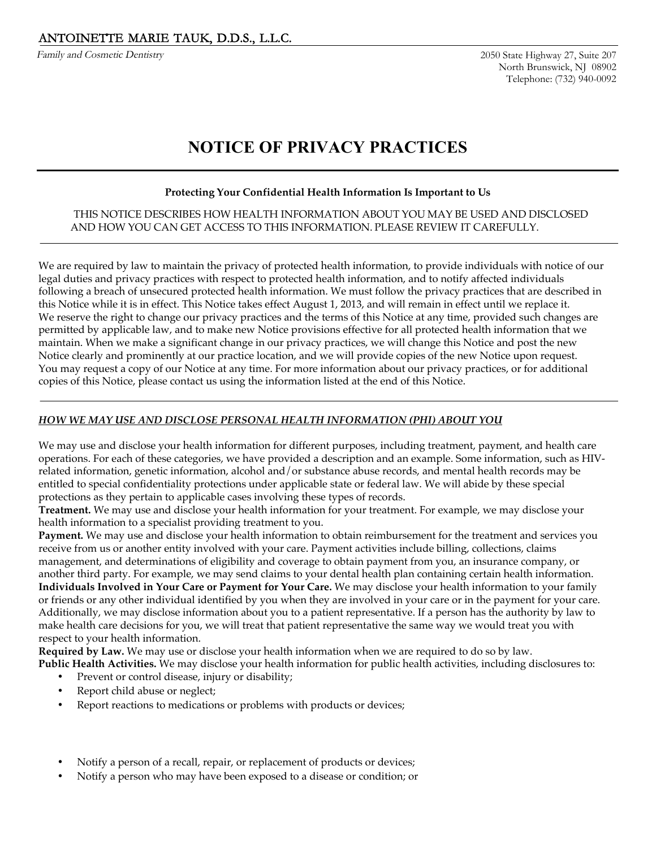Family and Cosmetic Dentistry

# **NOTICE OF PRIVACY PRACTICES**

#### **Protecting Your Confidential Health Information Is Important to Us**

THIS NOTICE DESCRIBES HOW HEALTH INFORMATION ABOUT YOU MAY BE USED AND DISCLOSED AND HOW YOU CAN GET ACCESS TO THIS INFORMATION. PLEASE REVIEW IT CAREFULLY.

We are required by law to maintain the privacy of protected health information, to provide individuals with notice of our legal duties and privacy practices with respect to protected health information, and to notify affected individuals following a breach of unsecured protected health information. We must follow the privacy practices that are described in this Notice while it is in effect. This Notice takes effect August 1, 2013, and will remain in effect until we replace it. We reserve the right to change our privacy practices and the terms of this Notice at any time, provided such changes are permitted by applicable law, and to make new Notice provisions effective for all protected health information that we maintain. When we make a significant change in our privacy practices, we will change this Notice and post the new Notice clearly and prominently at our practice location, and we will provide copies of the new Notice upon request. You may request a copy of our Notice at any time. For more information about our privacy practices, or for additional copies of this Notice, please contact us using the information listed at the end of this Notice.

### *HOW WE MAY USE AND DISCLOSE PERSONAL HEALTH INFORMATION (PHI) ABOUT YOU*

We may use and disclose your health information for different purposes, including treatment, payment, and health care operations. For each of these categories, we have provided a description and an example. Some information, such as HIVrelated information, genetic information, alcohol and/or substance abuse records, and mental health records may be entitled to special confidentiality protections under applicable state or federal law. We will abide by these special protections as they pertain to applicable cases involving these types of records.

**Treatment.** We may use and disclose your health information for your treatment. For example, we may disclose your health information to a specialist providing treatment to you.

**Payment.** We may use and disclose your health information to obtain reimbursement for the treatment and services you receive from us or another entity involved with your care. Payment activities include billing, collections, claims management, and determinations of eligibility and coverage to obtain payment from you, an insurance company, or another third party. For example, we may send claims to your dental health plan containing certain health information. **Individuals Involved in Your Care or Payment for Your Care.** We may disclose your health information to your family or friends or any other individual identified by you when they are involved in your care or in the payment for your care. Additionally, we may disclose information about you to a patient representative. If a person has the authority by law to make health care decisions for you, we will treat that patient representative the same way we would treat you with respect to your health information.

**Required by Law.** We may use or disclose your health information when we are required to do so by law.

**Public Health Activities.** We may disclose your health information for public health activities, including disclosures to:

- Prevent or control disease, injury or disability;
- Report child abuse or neglect;
- Report reactions to medications or problems with products or devices;
- Notify a person of a recall, repair, or replacement of products or devices;
- Notify a person who may have been exposed to a disease or condition; or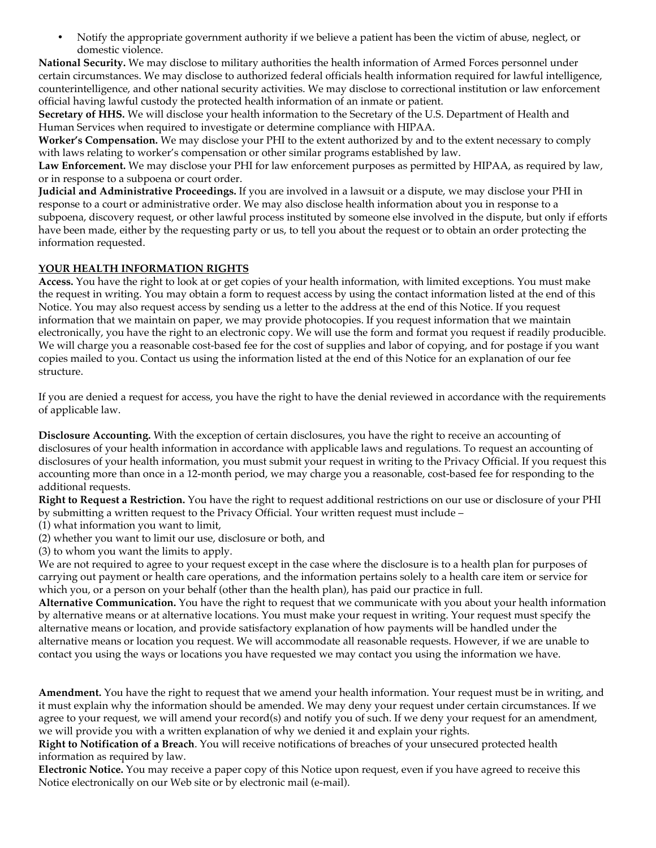• Notify the appropriate government authority if we believe a patient has been the victim of abuse, neglect, or domestic violence.

**National Security.** We may disclose to military authorities the health information of Armed Forces personnel under certain circumstances. We may disclose to authorized federal officials health information required for lawful intelligence, counterintelligence, and other national security activities. We may disclose to correctional institution or law enforcement official having lawful custody the protected health information of an inmate or patient.

**Secretary of HHS.** We will disclose your health information to the Secretary of the U.S. Department of Health and Human Services when required to investigate or determine compliance with HIPAA.

**Worker's Compensation.** We may disclose your PHI to the extent authorized by and to the extent necessary to comply with laws relating to worker's compensation or other similar programs established by law.

**Law Enforcement.** We may disclose your PHI for law enforcement purposes as permitted by HIPAA, as required by law, or in response to a subpoena or court order.

**Judicial and Administrative Proceedings.** If you are involved in a lawsuit or a dispute, we may disclose your PHI in response to a court or administrative order. We may also disclose health information about you in response to a subpoena, discovery request, or other lawful process instituted by someone else involved in the dispute, but only if efforts have been made, either by the requesting party or us, to tell you about the request or to obtain an order protecting the information requested.

## **YOUR HEALTH INFORMATION RIGHTS**

**Access.** You have the right to look at or get copies of your health information, with limited exceptions. You must make the request in writing. You may obtain a form to request access by using the contact information listed at the end of this Notice. You may also request access by sending us a letter to the address at the end of this Notice. If you request information that we maintain on paper, we may provide photocopies. If you request information that we maintain electronically, you have the right to an electronic copy. We will use the form and format you request if readily producible. We will charge you a reasonable cost-based fee for the cost of supplies and labor of copying, and for postage if you want copies mailed to you. Contact us using the information listed at the end of this Notice for an explanation of our fee structure.

If you are denied a request for access, you have the right to have the denial reviewed in accordance with the requirements of applicable law.

**Disclosure Accounting.** With the exception of certain disclosures, you have the right to receive an accounting of disclosures of your health information in accordance with applicable laws and regulations. To request an accounting of disclosures of your health information, you must submit your request in writing to the Privacy Official. If you request this accounting more than once in a 12-month period, we may charge you a reasonable, cost-based fee for responding to the additional requests.

**Right to Request a Restriction.** You have the right to request additional restrictions on our use or disclosure of your PHI by submitting a written request to the Privacy Official. Your written request must include –

(1) what information you want to limit,

(2) whether you want to limit our use, disclosure or both, and

(3) to whom you want the limits to apply.

We are not required to agree to your request except in the case where the disclosure is to a health plan for purposes of carrying out payment or health care operations, and the information pertains solely to a health care item or service for which you, or a person on your behalf (other than the health plan), has paid our practice in full.

**Alternative Communication.** You have the right to request that we communicate with you about your health information by alternative means or at alternative locations. You must make your request in writing. Your request must specify the alternative means or location, and provide satisfactory explanation of how payments will be handled under the alternative means or location you request. We will accommodate all reasonable requests. However, if we are unable to contact you using the ways or locations you have requested we may contact you using the information we have.

**Amendment.** You have the right to request that we amend your health information. Your request must be in writing, and it must explain why the information should be amended. We may deny your request under certain circumstances. If we agree to your request, we will amend your record(s) and notify you of such. If we deny your request for an amendment, we will provide you with a written explanation of why we denied it and explain your rights.

**Right to Notification of a Breach**. You will receive notifications of breaches of your unsecured protected health information as required by law.

**Electronic Notice.** You may receive a paper copy of this Notice upon request, even if you have agreed to receive this Notice electronically on our Web site or by electronic mail (e-mail).